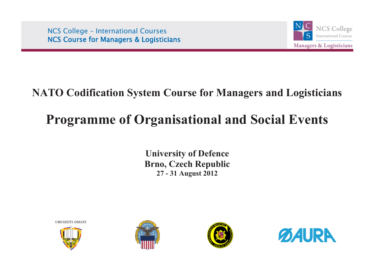NCS College – International Courses NCS Course for Managers & Logisticians



# **NATO Codification System Course for Managers and Logisticians**

# **Programme of Organisational and Social Events**

**University of Defence Brno, Czech Republic 27 - 31 August 2012**

UNIVERZITA OBRANY







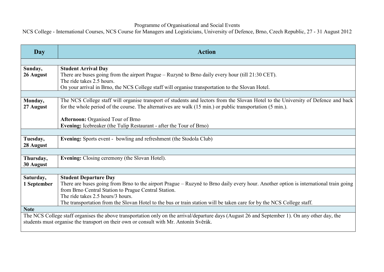# Programme of Organisational and Social Events

NCS College - International Courses, NCS Course for Managers and Logisticians, University of Defence, Brno, Czech Republic, 27 - 31 August 2012

| <b>Day</b>                                                                                                                                                                                                                              | <b>Action</b>                                                                                                                                                                                                                                                                                                                                                                              |
|-----------------------------------------------------------------------------------------------------------------------------------------------------------------------------------------------------------------------------------------|--------------------------------------------------------------------------------------------------------------------------------------------------------------------------------------------------------------------------------------------------------------------------------------------------------------------------------------------------------------------------------------------|
|                                                                                                                                                                                                                                         |                                                                                                                                                                                                                                                                                                                                                                                            |
| Sunday,<br>26 August                                                                                                                                                                                                                    | <b>Student Arrival Day</b><br>There are buses going from the airport Prague – Ruzyně to Brno daily every hour (till 21:30 CET).<br>The ride takes 2.5 hours.<br>On your arrival in Brno, the NCS College staff will organise transportation to the Slovan Hotel.                                                                                                                           |
|                                                                                                                                                                                                                                         |                                                                                                                                                                                                                                                                                                                                                                                            |
| Monday,<br>27 August                                                                                                                                                                                                                    | The NCS College staff will organise transport of students and lectors from the Slovan Hotel to the University of Defence and back<br>for the whole period of the course. The alternatives are walk (15 min.) or public transportation (5 min.).                                                                                                                                            |
|                                                                                                                                                                                                                                         | Afternoon: Organised Tour of Brno                                                                                                                                                                                                                                                                                                                                                          |
|                                                                                                                                                                                                                                         | Evening: Icebreaker (the Tulip Restaurant - after the Tour of Brno)                                                                                                                                                                                                                                                                                                                        |
|                                                                                                                                                                                                                                         |                                                                                                                                                                                                                                                                                                                                                                                            |
| Tuesday,<br>28 August                                                                                                                                                                                                                   | Evening: Sports event - bowling and refreshment (the Stodola Club)                                                                                                                                                                                                                                                                                                                         |
|                                                                                                                                                                                                                                         |                                                                                                                                                                                                                                                                                                                                                                                            |
| Thursday,<br>30 August                                                                                                                                                                                                                  | <b>Evening:</b> Closing ceremony (the Slovan Hotel).                                                                                                                                                                                                                                                                                                                                       |
|                                                                                                                                                                                                                                         |                                                                                                                                                                                                                                                                                                                                                                                            |
| Saturday,<br>1 September                                                                                                                                                                                                                | <b>Student Departure Day</b><br>There are buses going from Brno to the airport Prague – Ruzyně to Brno daily every hour. Another option is international train going<br>from Brno Central Station to Prague Central Station.<br>The ride takes 2.5 hours/3 hours.<br>The transportation from the Slovan Hotel to the bus or train station will be taken care for by the NCS College staff. |
| <b>Note</b>                                                                                                                                                                                                                             |                                                                                                                                                                                                                                                                                                                                                                                            |
| The NCS College staff organises the above transportation only on the arrival/departure days (August 26 and September 1). On any other day, the<br>students must organise the transport on their own or consult with Mr. Antonín Svěrák. |                                                                                                                                                                                                                                                                                                                                                                                            |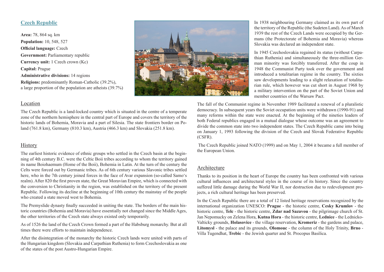# **Czech Republic**

**Area:** 78, 864 sq. km **Population:** 10, 548, 527 **Official language:** Czech **Government:** Parliamentary republic **Currency unit:** 1 Czech crown (Kc) **Capital:** Prague **Administrative divisions:** 14 regions **Religions:** predominantly Roman-Catholic (39.2%), a large proportion of the population are atheists (39.7%)



#### Location

The Czech Republic is a land-locked country which is situated in the centre of a temperate zone of the northern hemisphere in the central part of Europe and covers the territory of the historic lands of Bohemia, Moravia and a part of Silesia. The state frontiers border on Poland (761.8 km), Germany (810.3 km), Austria (466.3 km) and Slovakia (251.8 km).

## **History**

The earliest historic evidence of ethnic groups who settled in the Czech basin at the beginning of 4th century B.C. were the Celtic Boii tribes according to whom the territory gained its name Boiohaemum (Home of the Boii), Bohemia in Latin. At the turn of the century the Celts were forced out by Germanic tribes. As of 6th century various Slavonic tribes settled here, who in the 7th century joined forces in the face of Avar expansion (so-called Samo's realm). After 820 the first proven state, the Great Moravian Empire, which is connected with the conversion to Christianity in the region, was established on the territory of the present Republic. Following its decline at the beginning of 10th century the mainstay of the people who created a state moved west to Bohemia.

The Premyslide dynasty finally succeeded in uniting the state. The borders of the main historic countries (Bohemia and Moravia) have essentially not changed since the Middle Ages, the other territories of the Czech state always existed only temporarily.

As of 1526 the land of the Czech Crown formed a part of the Habsburg monarchy. But at all times there were efforts to maintain independence.

After the disintegration of the monarchy the historic Czech lands were united with parts of the Hungarian kingdom (Slovakia and Carpathian Ruthenia) to form Czechoslovakia as one of the states of the post Austro-Hungarian Empire.

In 1938 neighbouring Germany claimed as its own part of the territory of the Republic (the Sudeten Land). As of March 1939 the rest of the Czech Lands were occupied by the Germans (the Protectorate of Bohemia and Moravia) whereas Slovakia was declared an independent state.

In 1945 Czechoslovakia regained its status (without Carpathian Ruthenia) and simultaneously the three-million German minority was forcibly transferred. After the coup in 1948 the Communist Party took over the government and introduced a totalitarian regime in the country. The sixties saw developments leading to a slight relaxation of totalitarian rule, which however was cut short in August 1968 by a military intervention on the part of the Soviet Union and member countries of the Warsaw Pact.

The fall of the Communist regime in November 1989 facilitated a renewal of a pluralistic democracy. In subsequent years the Soviet occupation units were withdrawn (1990-91) and many reforms within the state were enacted. At the beginning of the nineties leaders of both Federal republics engaged in a mutual dialogue whose outcome was an agreement to divide the common state into two independent states. The Czech Republic came into being on January 1, 1993 following the division of the Czech and Slovak Federative Republic (CSFR).

 The Czech Republic joined NATO (1999) and on May 1, 2004 it became a full member of the European Union.

#### Architecture

Thanks to its position in the heart of Europe the country has been confronted with various cultural influences and architectural styles in the course of its history. Since the country suffered little damage during the World War II, nor destruction due to redevelopment projects, a rich cultural heritage has been preserved.

In the Czech Republic there are a total of 12 listed heritage reservations recognized by the international organization UNESCO: **Prague** - the historic centre, **Cesky Krumlov** - the historic centre, **Telc** - the historic centre, **Zdar nad Sazavou** - the pilgrimage church of St. Jan Nepomucky on Zelena Hora, **Kutna Hora** - the historic centre, **Lednice** - the Lednicko-Valticky grounds, **Holasovice** - the village reservation, **Kromeriz** - the gardens and palace, **Litomysl** - the palace and its grounds, **Olomouc** - the column of the Holy Trinity, **Brno** - Villa Tugendhat, **Trebic** - the Jewish quarter and St. Procopus Basilica.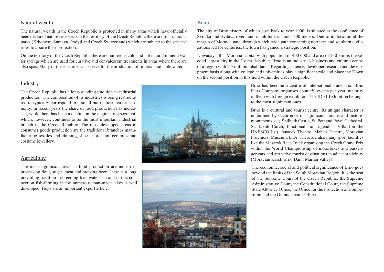#### Natural wealth

The natural wealth in the Czech Republic is protected in many areas which have officially been declared nature reserves. On the territory of the Czech Republic there are four national parks (Krkonose, Sumava, Podyji and Czech Switzerland) which are subject to the strictest rules to assure their protection.

On the territory of the Czech Republic there are numerous cold and hot natural mineral water springs which are used for curative and convalescent treatments in areas where there are also spas. Many of these sources also serve for the production of mineral and table water.

#### Industry

The Czech Republic has a long-standing tradition in industrial production. The composition of its industries is being restructured to typically correspond to a small but mature market economy. In recent years the share of food production has increased, while there has been a decline in the engineering segment, which, however, continues to be the most important industrial branch in the Czech Republic. The most developed areas in consumer goods production are the traditional branches manufacturing textiles and clothing, shoes, porcelain, ceramics and costume jewellery.

#### Agriculture

The most significant areas in food production are industries processing flour, sugar, meat and brewing beer. There is a long prevailing tradition in breeding freshwater fish and in this connection fish-farming in the numerous man-made lakes is well developed. Hops are an important export article.

### **Brno**

The city of Brno history of which goes back to year 1000, is situated at the confluence of Svratka and Svitava rivers and its altitude is about 200 meters. Due to its location at the margin of Moravia gate, through which trade path connecting northern and southern civilizations led for centuries, the town has gained a strategic position.

Nowadays, this Moravia capital with population of 400 000 and area of 230 km<sup>2</sup> is the second largest city in the Czech Republic. Brno is an industrial, business and cultural centre of a region with 2.5 million inhabitants. Regarding science, developer research and development basis along with college and universities play a significant role and place the Down on the second position in this field within the Czech Republic.

> Brno has become a centre of international trade, too. Brno Fairs Company organises about 50 events per year, majority of them with foreign exhibitors. The IDET Exhibition belongs to the most significant ones.

> Brno is a cultural and tourist centre. Its unique character is underlined by occurrence of significant famous and historic monuments, e.g. Špilberk Castle, St. Petr and Pavel Cathedral, St. Jakub Curch, functionalistic Tugendhat Villa (on the UNESCO list), Janacek Theatre, Mahen Theatre, Moravian Provincial Museum, ETA. There are also many sport facilities like the Masaryk Race Track organising the Czech Grand Prix within the World Championship of motorbikes and passenger cars and attractive tourist destinations in adjacent vicinity (Moravian Karst, Brno Dam, Marian Valley).

> The economic, social and political significance of Brno goes beyond the limits of the South Moravian Region. It is the seat of the Supreme Court of the Czech Republic, the Supreme Administrative Court, the Constitutional Court, the Supreme State Attorney Office, the Office for the Protection of Competition and the Ombudsman's Office.